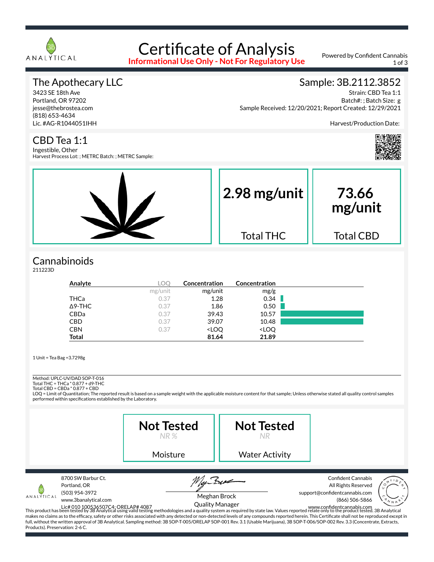

# Certificate of Analysis

**Informational Use Only - Not For Regulatory Use**

Powered by Confident Cannabis 1 of 3

#### The Apothecary LLC

3423 SE 18th Ave Portland, OR 97202 jesse@thebrostea.com (818) 653-4634 Lic. #AG-R1044051IHH

#### Sample: 3B.2112.3852

Strain: CBD Tea 1:1 Batch#: ; Batch Size: g Sample Received: 12/20/2021; Report Created: 12/29/2021

Harvest/Production Date:



#### CBD Tea 1:1

Ingestible, Other Harvest Process Lot: ; METRC Batch: ; METRC Sample:



## **Cannabinoids**

211223D

| Analyte        | LOC     | Concentration                                            | Concentration                |  |
|----------------|---------|----------------------------------------------------------|------------------------------|--|
|                | mg/unit | mg/unit                                                  | mg/g                         |  |
| THCa           | 0.37    | 1.28                                                     | 0.34                         |  |
| $\Delta$ 9-THC | 0.37    | 1.86                                                     | 0.50                         |  |
| CBDa           | 0.37    | 39.43                                                    | 10.57                        |  |
| <b>CBD</b>     | 0.37    | 39.07                                                    | 10.48                        |  |
| <b>CBN</b>     | 0.37    | <loq< td=""><td><loq< td=""><td></td></loq<></td></loq<> | <loq< td=""><td></td></loq<> |  |
| <b>Total</b>   |         | 81.64                                                    | 21.89                        |  |

1 Unit = Tea Bag =3.7298g

### Method: UPLC-UV/DAD SOP-T-016

Total THC = THCa \* 0.877 + d9-THC Total CBD = CBDa \* 0.877 + CBD

LOQ = Limit of Quantitation; The reported result is based on a sample weight with the applicable moisture content for that sample; Unless otherwise stated all quality control samples performed within specifications established by the Laboratory.

|                                               |                                                                              | <b>Not Tested</b><br>NR %                                                                                                                                                                                                                                                                                                                                                                                                                                           | <b>Not Tested</b>     |                                                                                                                                                                                                                                                                                                           |
|-----------------------------------------------|------------------------------------------------------------------------------|---------------------------------------------------------------------------------------------------------------------------------------------------------------------------------------------------------------------------------------------------------------------------------------------------------------------------------------------------------------------------------------------------------------------------------------------------------------------|-----------------------|-----------------------------------------------------------------------------------------------------------------------------------------------------------------------------------------------------------------------------------------------------------------------------------------------------------|
|                                               |                                                                              | Moisture                                                                                                                                                                                                                                                                                                                                                                                                                                                            | <b>Water Activity</b> |                                                                                                                                                                                                                                                                                                           |
| ANALÝTICAL<br>Products). Preservation: 2-6 C. | 8700 SW Barbur Ct.<br>Portland, OR<br>(503) 954-3972<br>www.3banalytical.com | Meghan Brock<br><b>Quality Manager</b><br>Lic# 010 100536507C4: ORELAP# 4087<br>This product has been tested by 3B Analytical using valid testing methodologies and a quality system as required by state law. Values reported relate only to the product tested. 3B Analyt<br>full, without the written approval of 3B Analytical. Sampling method: 3B SOP-T-005/ORELAP SOP-001 Rev. 3.1 (Usable Marijuana), 3B SOP-T-006/SOP-002 Rev. 3.3 (Concentrate, Extracts, |                       | <b>Confident Cannabis</b><br>All Rights Reserved<br>support@confidentcannabis.com<br>(866) 506-5866<br>makes no claims as to the efficacy, safety or other risks associated with any detected or non-detected levels of any compounds reported herein. This Certificate shall not be reproduced except in |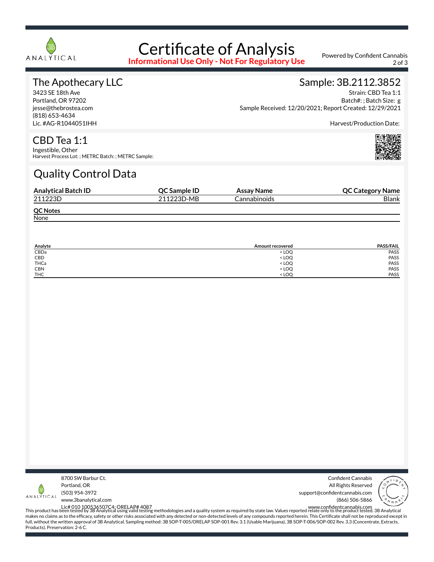

## Certificate of Analysis

**Informational Use Only - Not For Regulatory Use**

Powered by Confident Cannabis 2 of 3

#### The Apothecary LLC

3423 SE 18th Ave Portland, OR 97202 jesse@thebrostea.com (818) 653-4634 Lic. #AG-R1044051IHH

#### Sample: 3B.2112.3852

Strain: CBD Tea 1:1 Batch#: ; Batch Size: g Sample Received: 12/20/2021; Report Created: 12/29/2021

Harvest/Production Date:

## CBD Tea 1:1

Ingestible, Other Harvest Process Lot: ; METRC Batch: ; METRC Sample:

## Quality Control Data

| <b>Analytical Batch ID</b> | QC Sample ID | Assay Name   | <b>QC Category Name</b> |
|----------------------------|--------------|--------------|-------------------------|
| 211223D                    | 211223D-MB   | Cannabinoids | <b>Blank</b>            |
| <b>QC Notes</b>            |              |              |                         |
| None                       |              |              |                         |

| Analyte    | Amount recovered                 | <b>PASS/FAIL</b> |
|------------|----------------------------------|------------------|
| CBDa       | < LOO                            | PASS             |
| CBD        | <b>LOQ</b>                       | PASS             |
| THCa       | < LOQ                            | PASS             |
| <b>CBN</b> | < LOQ                            | PASS             |
| <b>THC</b> | <loo< td=""><td>PASS</td></loo<> | PASS             |



Confident Cannabis All Rights Reserved support@confidentcannabis.com (866) 506-5866



www.3banalytical.com

Lic# 010 100536507C4; ORELAP# 4087<br>This product has been tested by 3B Analytical using valid testing methodologies and a quality system as required by state law. Values reported relate only to the product tested. 3B Analyt makes no claims as to the efficacy, safety or other risks associated with any detected or non-detected levels of any compounds reported herein. This Certificate shall not be reproduced except in full, without the written approval of 3B Analytical. Sampling method: 3B SOP-T-005/ORELAP SOP-001 Rev. 3.1 (Usable Marijuana), 3B SOP-T-006/SOP-002 Rev. 3.3 (Concentrate, Extracts, Products). Preservation: 2-6 C.